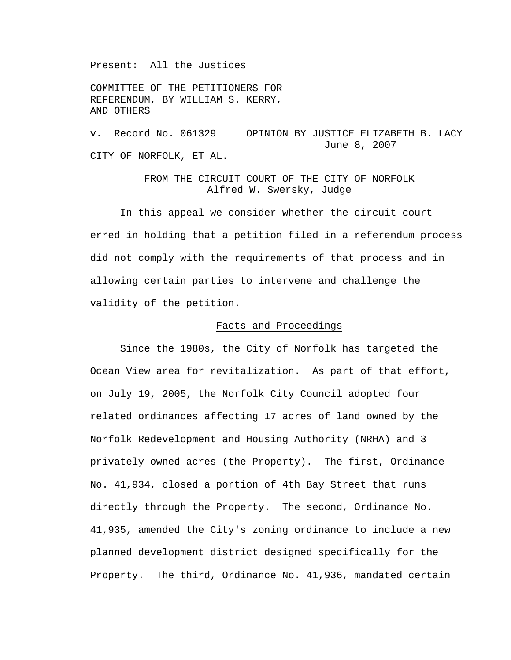Present: All the Justices

COMMITTEE OF THE PETITIONERS FOR REFERENDUM, BY WILLIAM S. KERRY, AND OTHERS

v. Record No. 061329 OPINION BY JUSTICE ELIZABETH B. LACY June 8, 2007 CITY OF NORFOLK, ET AL.

# FROM THE CIRCUIT COURT OF THE CITY OF NORFOLK Alfred W. Swersky, Judge

 In this appeal we consider whether the circuit court erred in holding that a petition filed in a referendum process did not comply with the requirements of that process and in allowing certain parties to intervene and challenge the validity of the petition.

### Facts and Proceedings

Since the 1980s, the City of Norfolk has targeted the Ocean View area for revitalization. As part of that effort, on July 19, 2005, the Norfolk City Council adopted four related ordinances affecting 17 acres of land owned by the Norfolk Redevelopment and Housing Authority (NRHA) and 3 privately owned acres (the Property). The first, Ordinance No. 41,934, closed a portion of 4th Bay Street that runs directly through the Property. The second, Ordinance No. 41,935, amended the City's zoning ordinance to include a new planned development district designed specifically for the Property. The third, Ordinance No. 41,936, mandated certain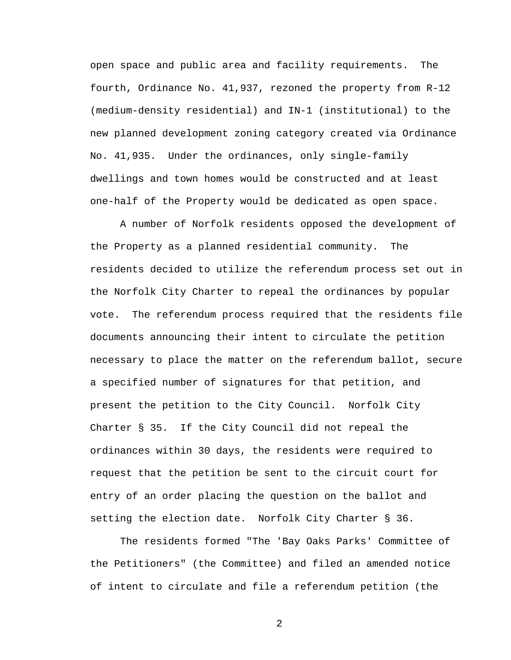open space and public area and facility requirements. The fourth, Ordinance No. 41,937, rezoned the property from R-12 (medium-density residential) and IN-1 (institutional) to the new planned development zoning category created via Ordinance No. 41,935. Under the ordinances, only single-family dwellings and town homes would be constructed and at least one-half of the Property would be dedicated as open space.

A number of Norfolk residents opposed the development of the Property as a planned residential community. The residents decided to utilize the referendum process set out in the Norfolk City Charter to repeal the ordinances by popular vote. The referendum process required that the residents file documents announcing their intent to circulate the petition necessary to place the matter on the referendum ballot, secure a specified number of signatures for that petition, and present the petition to the City Council. Norfolk City Charter § 35. If the City Council did not repeal the ordinances within 30 days, the residents were required to request that the petition be sent to the circuit court for entry of an order placing the question on the ballot and setting the election date. Norfolk City Charter § 36.

The residents formed "The 'Bay Oaks Parks' Committee of the Petitioners" (the Committee) and filed an amended notice of intent to circulate and file a referendum petition (the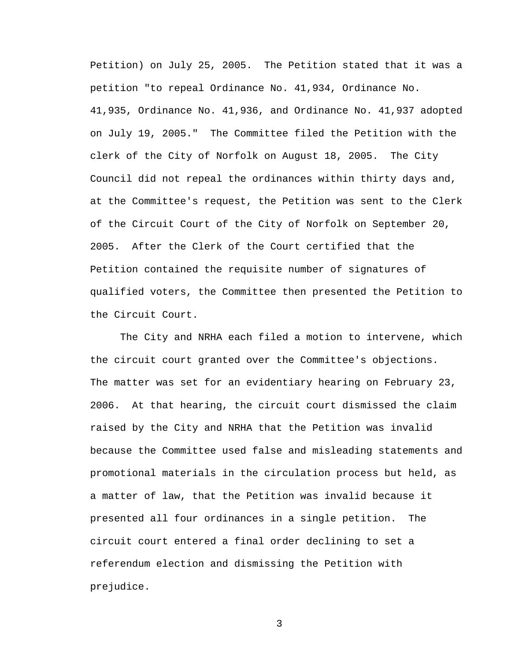Petition) on July 25, 2005. The Petition stated that it was a petition "to repeal Ordinance No. 41,934, Ordinance No. 41,935, Ordinance No. 41,936, and Ordinance No. 41,937 adopted on July 19, 2005." The Committee filed the Petition with the clerk of the City of Norfolk on August 18, 2005. The City Council did not repeal the ordinances within thirty days and, at the Committee's request, the Petition was sent to the Clerk of the Circuit Court of the City of Norfolk on September 20, 2005. After the Clerk of the Court certified that the Petition contained the requisite number of signatures of qualified voters, the Committee then presented the Petition to the Circuit Court.

The City and NRHA each filed a motion to intervene, which the circuit court granted over the Committee's objections. The matter was set for an evidentiary hearing on February 23, 2006. At that hearing, the circuit court dismissed the claim raised by the City and NRHA that the Petition was invalid because the Committee used false and misleading statements and promotional materials in the circulation process but held, as a matter of law, that the Petition was invalid because it presented all four ordinances in a single petition. The circuit court entered a final order declining to set a referendum election and dismissing the Petition with prejudice.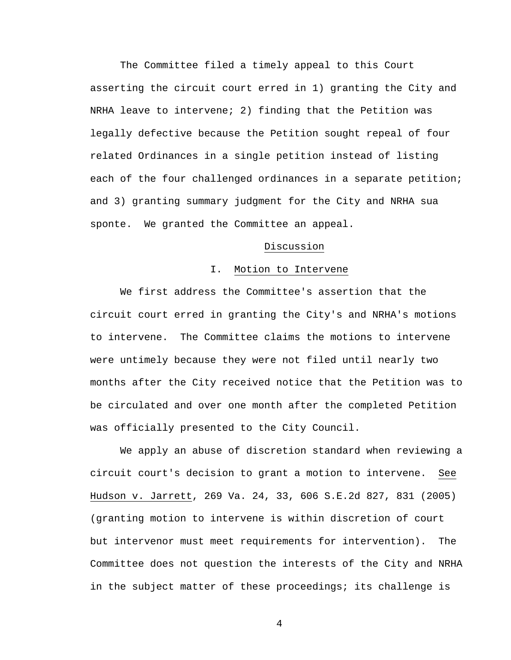The Committee filed a timely appeal to this Court asserting the circuit court erred in 1) granting the City and NRHA leave to intervene; 2) finding that the Petition was legally defective because the Petition sought repeal of four related Ordinances in a single petition instead of listing each of the four challenged ordinances in a separate petition; and 3) granting summary judgment for the City and NRHA sua sponte. We granted the Committee an appeal.

## Discussion

### I. Motion to Intervene

We first address the Committee's assertion that the circuit court erred in granting the City's and NRHA's motions to intervene. The Committee claims the motions to intervene were untimely because they were not filed until nearly two months after the City received notice that the Petition was to be circulated and over one month after the completed Petition was officially presented to the City Council.

We apply an abuse of discretion standard when reviewing a circuit court's decision to grant a motion to intervene. See Hudson v. Jarrett, 269 Va. 24, 33, 606 S.E.2d 827, 831 (2005) (granting motion to intervene is within discretion of court but intervenor must meet requirements for intervention). The Committee does not question the interests of the City and NRHA in the subject matter of these proceedings; its challenge is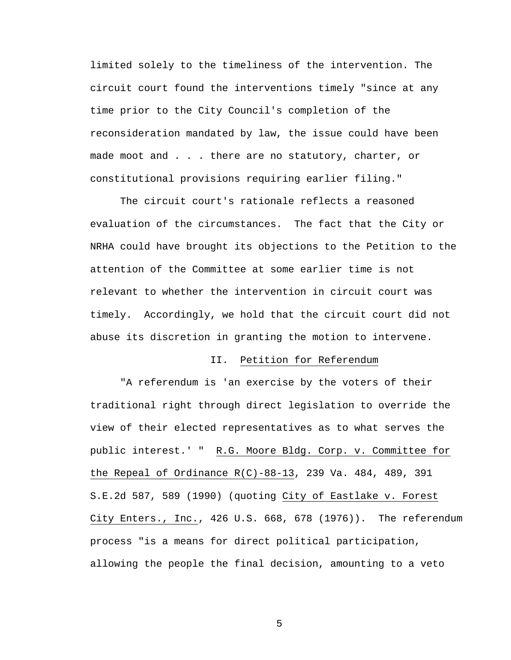limited solely to the timeliness of the intervention. The circuit court found the interventions timely "since at any time prior to the City Council's completion of the reconsideration mandated by law, the issue could have been made moot and . . . there are no statutory, charter, or constitutional provisions requiring earlier filing."

The circuit court's rationale reflects a reasoned evaluation of the circumstances. The fact that the City or NRHA could have brought its objections to the Petition to the attention of the Committee at some earlier time is not relevant to whether the intervention in circuit court was timely. Accordingly, we hold that the circuit court did not abuse its discretion in granting the motion to intervene.

### II. Petition for Referendum

"A referendum is 'an exercise by the voters of their traditional right through direct legislation to override the view of their elected representatives as to what serves the public interest.' " R.G. Moore Bldg. Corp. v. Committee for the Repeal of Ordinance R(C)-88-13, 239 Va. 484, 489, 391 S.E.2d 587, 589 (1990) (quoting City of Eastlake v. Forest City Enters., Inc., 426 U.S. 668, 678 (1976)). The referendum process "is a means for direct political participation, allowing the people the final decision, amounting to a veto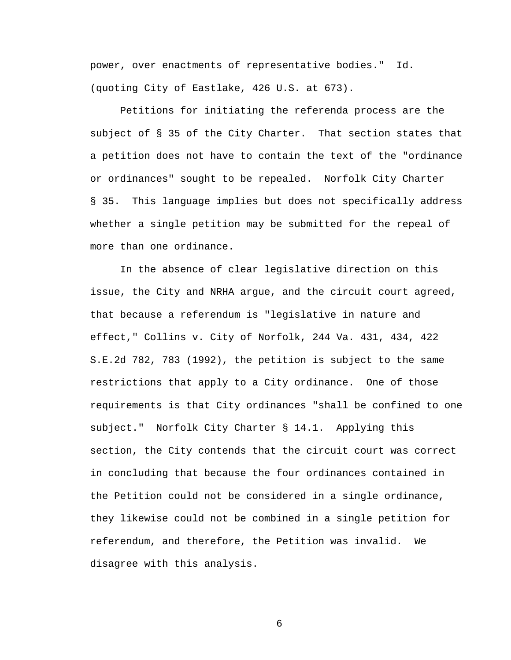power, over enactments of representative bodies." Id. (quoting City of Eastlake, 426 U.S. at 673).

Petitions for initiating the referenda process are the subject of § 35 of the City Charter. That section states that a petition does not have to contain the text of the "ordinance or ordinances" sought to be repealed. Norfolk City Charter § 35. This language implies but does not specifically address whether a single petition may be submitted for the repeal of more than one ordinance.

In the absence of clear legislative direction on this issue, the City and NRHA argue, and the circuit court agreed, that because a referendum is "legislative in nature and effect," Collins v. City of Norfolk, 244 Va. 431, 434, 422 S.E.2d 782, 783 (1992), the petition is subject to the same restrictions that apply to a City ordinance. One of those requirements is that City ordinances "shall be confined to one subject." Norfolk City Charter § 14.1. Applying this section, the City contends that the circuit court was correct in concluding that because the four ordinances contained in the Petition could not be considered in a single ordinance, they likewise could not be combined in a single petition for referendum, and therefore, the Petition was invalid. We disagree with this analysis.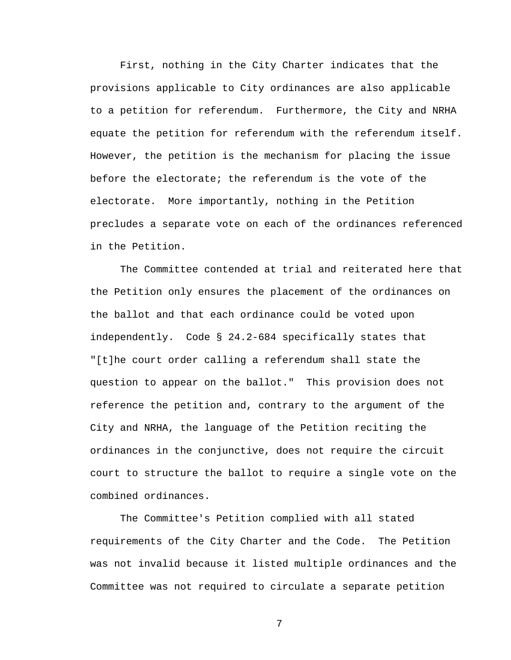First, nothing in the City Charter indicates that the provisions applicable to City ordinances are also applicable to a petition for referendum. Furthermore, the City and NRHA equate the petition for referendum with the referendum itself. However, the petition is the mechanism for placing the issue before the electorate; the referendum is the vote of the electorate. More importantly, nothing in the Petition precludes a separate vote on each of the ordinances referenced in the Petition.

The Committee contended at trial and reiterated here that the Petition only ensures the placement of the ordinances on the ballot and that each ordinance could be voted upon independently. Code § 24.2-684 specifically states that "[t]he court order calling a referendum shall state the question to appear on the ballot." This provision does not reference the petition and, contrary to the argument of the City and NRHA, the language of the Petition reciting the ordinances in the conjunctive, does not require the circuit court to structure the ballot to require a single vote on the combined ordinances.

The Committee's Petition complied with all stated requirements of the City Charter and the Code. The Petition was not invalid because it listed multiple ordinances and the Committee was not required to circulate a separate petition